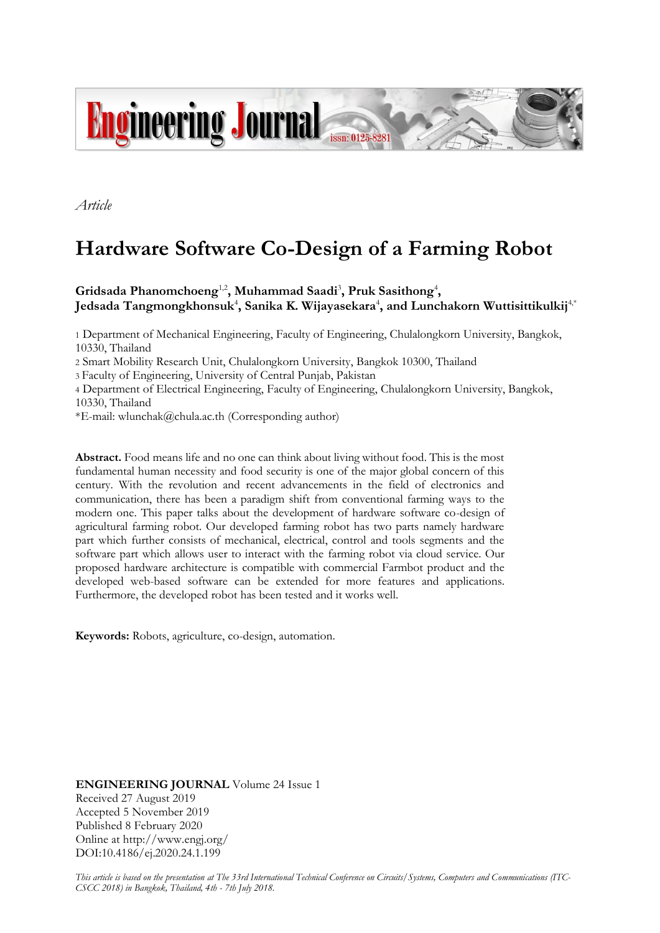

*Article*

# **Hardware Software Co-Design of a Farming Robot**

Gridsada Phanomchoeng<sup>1,2</sup>, Muhammad Saadi<sup>3</sup>, Pruk Sasithong<sup>4</sup>, **Jedsada Tangmongkhonsuk**<sup>4</sup> **, Sanika K. Wijayasekara**<sup>4</sup> **, and Lunchakorn Wuttisittikulkij**4,\*

1 Department of Mechanical Engineering, Faculty of Engineering, Chulalongkorn University, Bangkok, 10330, Thailand

2 Smart Mobility Research Unit, Chulalongkorn University, Bangkok 10300, Thailand

3 Faculty of Engineering, University of Central Punjab, Pakistan

4 Department of Electrical Engineering, Faculty of Engineering, Chulalongkorn University, Bangkok, 10330, Thailand

\*E-mail: wlunchak@chula.ac.th (Corresponding author)

**Abstract.** Food means life and no one can think about living without food. This is the most fundamental human necessity and food security is one of the major global concern of this century. With the revolution and recent advancements in the field of electronics and communication, there has been a paradigm shift from conventional farming ways to the modern one. This paper talks about the development of hardware software co-design of agricultural farming robot. Our developed farming robot has two parts namely hardware part which further consists of mechanical, electrical, control and tools segments and the software part which allows user to interact with the farming robot via cloud service. Our proposed hardware architecture is compatible with commercial Farmbot product and the developed web-based software can be extended for more features and applications. Furthermore, the developed robot has been tested and it works well.

**Keywords:** Robots, agriculture, co-design, automation.

**ENGINEERING JOURNAL** Volume 24 Issue 1 Received 27 August 2019 Accepted 5 November 2019 Published 8 February 2020 Online at http://www.engj.org/ DOI:10.4186/ej.2020.24.1.199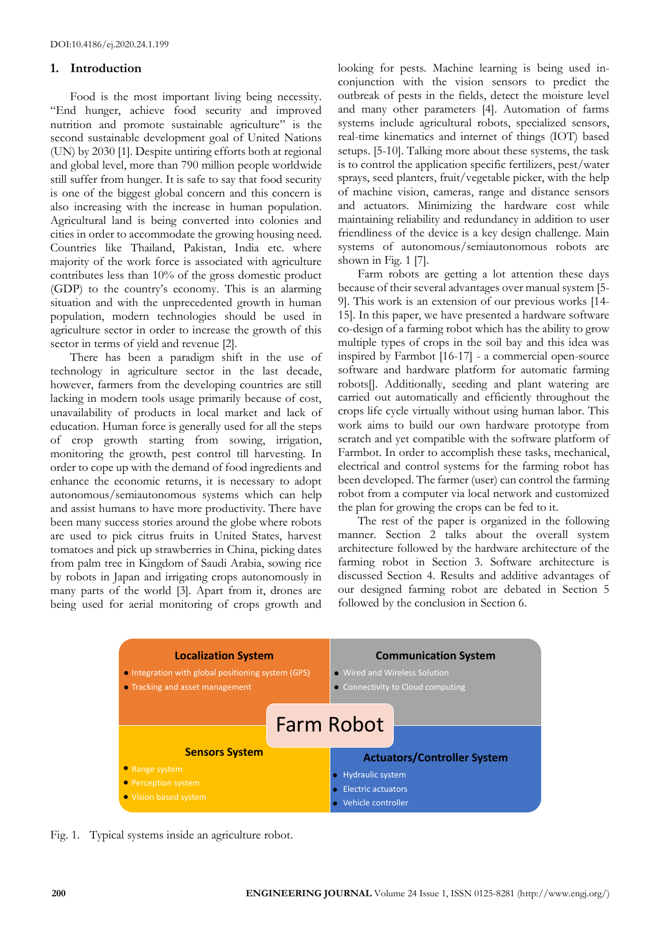#### **1. Introduction**

Food is the most important living being necessity. "End hunger, achieve food security and improved nutrition and promote sustainable agriculture" is the second sustainable development goal of United Nations (UN) by 2030 [1]. Despite untiring efforts both at regional and global level, more than 790 million people worldwide still suffer from hunger. It is safe to say that food security is one of the biggest global concern and this concern is also increasing with the increase in human population. Agricultural land is being converted into colonies and cities in order to accommodate the growing housing need. Countries like Thailand, Pakistan, India etc. where majority of the work force is associated with agriculture contributes less than 10% of the gross domestic product (GDP) to the country's economy. This is an alarming situation and with the unprecedented growth in human population, modern technologies should be used in agriculture sector in order to increase the growth of this sector in terms of yield and revenue [2].

There has been a paradigm shift in the use of technology in agriculture sector in the last decade, however, farmers from the developing countries are still lacking in modern tools usage primarily because of cost, unavailability of products in local market and lack of education. Human force is generally used for all the steps of crop growth starting from sowing, irrigation, monitoring the growth, pest control till harvesting. In order to cope up with the demand of food ingredients and enhance the economic returns, it is necessary to adopt autonomous/semiautonomous systems which can help and assist humans to have more productivity. There have been many success stories around the globe where robots are used to pick citrus fruits in United States, harvest tomatoes and pick up strawberries in China, picking dates from palm tree in Kingdom of Saudi Arabia, sowing rice by robots in Japan and irrigating crops autonomously in many parts of the world [3]. Apart from it, drones are being used for aerial monitoring of crops growth and looking for pests. Machine learning is being used inconjunction with the vision sensors to predict the outbreak of pests in the fields, detect the moisture level and many other parameters [4]. Automation of farms systems include agricultural robots, specialized sensors, real-time kinematics and internet of things (IOT) based setups. [5-10]. Talking more about these systems, the task is to control the application specific fertilizers, pest/water sprays, seed planters, fruit/vegetable picker, with the help of machine vision, cameras, range and distance sensors and actuators. Minimizing the hardware cost while maintaining reliability and redundancy in addition to user friendliness of the device is a key design challenge. Main systems of autonomous/semiautonomous robots are shown in Fig. 1 [7].

Farm robots are getting a lot attention these days because of their several advantages over manual system [5- 9]. This work is an extension of our previous works [14- 15]. In this paper, we have presented a hardware software co-design of a farming robot which has the ability to grow multiple types of crops in the soil bay and this idea was inspired by Farmbot [16-17] - a commercial open-source software and hardware platform for automatic farming robots[]. Additionally, seeding and plant watering are carried out automatically and efficiently throughout the crops life cycle virtually without using human labor. This work aims to build our own hardware prototype from scratch and yet compatible with the software platform of Farmbot. In order to accomplish these tasks, mechanical, electrical and control systems for the farming robot has been developed. The farmer (user) can control the farming robot from a computer via local network and customized the plan for growing the crops can be fed to it.

The rest of the paper is organized in the following manner. Section 2 talks about the overall system architecture followed by the hardware architecture of the farming robot in Section 3. Software architecture is discussed Section 4. Results and additive advantages of our designed farming robot are debated in Section 5 followed by the conclusion in Section 6.



Fig. 1. Typical systems inside an agriculture robot.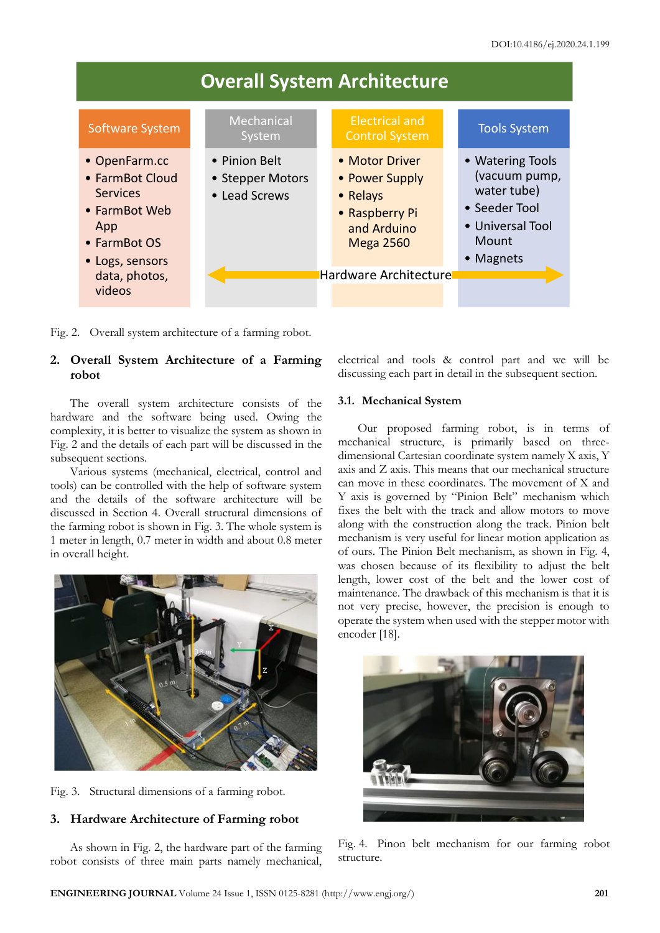

Fig. 2. Overall system architecture of a farming robot.

## **2. Overall System Architecture of a Farming robot**

The overall system architecture consists of the hardware and the software being used. Owing the complexity, it is better to visualize the system as shown in Fig. 2 and the details of each part will be discussed in the subsequent sections.

Various systems (mechanical, electrical, control and tools) can be controlled with the help of software system and the details of the software architecture will be discussed in Section 4. Overall structural dimensions of the farming robot is shown in Fig. 3. The whole system is 1 meter in length, 0.7 meter in width and about 0.8 meter in overall height.



Fig. 3. Structural dimensions of a farming robot.

## **3. Hardware Architecture of Farming robot**

As shown in Fig. 2, the hardware part of the farming robot consists of three main parts namely mechanical,

electrical and tools & control part and we will be discussing each part in detail in the subsequent section.

## **3.1. Mechanical System**

Our proposed farming robot, is in terms of mechanical structure, is primarily based on threedimensional Cartesian coordinate system namely X axis, Y axis and Z axis. This means that our mechanical structure can move in these coordinates. The movement of X and Y axis is governed by "Pinion Belt" mechanism which fixes the belt with the track and allow motors to move along with the construction along the track. Pinion belt mechanism is very useful for linear motion application as of ours. The Pinion Belt mechanism, as shown in Fig. 4, was chosen because of its flexibility to adjust the belt length, lower cost of the belt and the lower cost of maintenance. The drawback of this mechanism is that it is not very precise, however, the precision is enough to operate the system when used with the stepper motor with encoder [18].



Fig. 4. Pinon belt mechanism for our farming robot structure.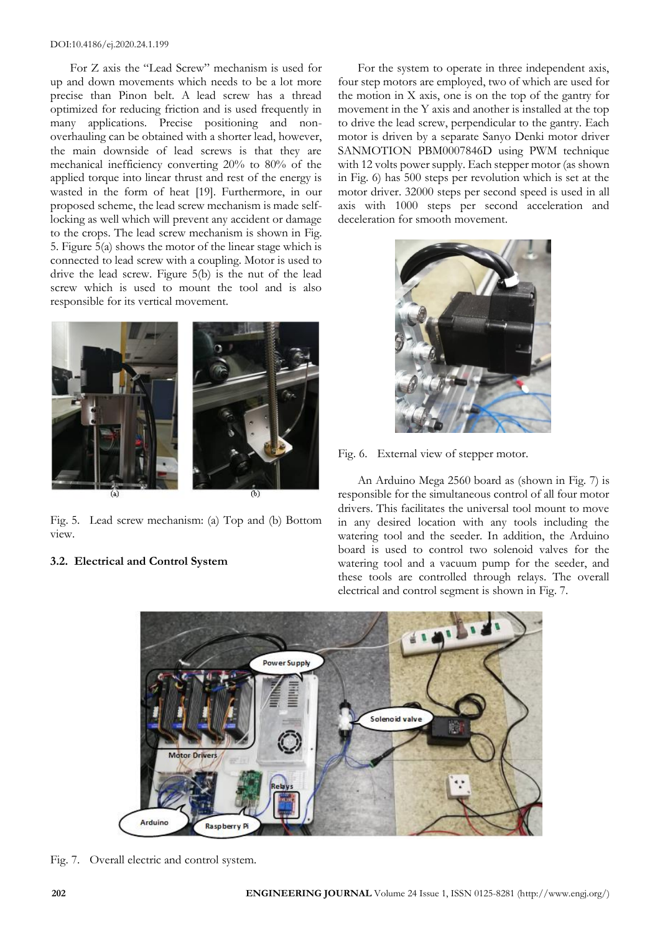For Z axis the "Lead Screw" mechanism is used for up and down movements which needs to be a lot more precise than Pinon belt. A lead screw has a thread optimized for reducing friction and is used frequently in many applications. Precise positioning and nonoverhauling can be obtained with a shorter lead, however, the main downside of lead screws is that they are mechanical inefficiency converting 20% to 80% of the applied torque into linear thrust and rest of the energy is wasted in the form of heat [19]. Furthermore, in our proposed scheme, the lead screw mechanism is made selflocking as well which will prevent any accident or damage to the crops. The lead screw mechanism is shown in Fig. 5. Figure 5(a) shows the motor of the linear stage which is connected to lead screw with a coupling. Motor is used to drive the lead screw. Figure 5(b) is the nut of the lead screw which is used to mount the tool and is also responsible for its vertical movement.



Fig. 5. Lead screw mechanism: (a) Top and (b) Bottom view.

## **3.2. Electrical and Control System**

For the system to operate in three independent axis, four step motors are employed, two of which are used for the motion in X axis, one is on the top of the gantry for movement in the Y axis and another is installed at the top to drive the lead screw, perpendicular to the gantry. Each motor is driven by a separate Sanyo Denki motor driver SANMOTION PBM0007846D using PWM technique with 12 volts power supply. Each stepper motor (as shown in Fig. 6) has 500 steps per revolution which is set at the motor driver. 32000 steps per second speed is used in all axis with 1000 steps per second acceleration and deceleration for smooth movement.



Fig. 6. External view of stepper motor.

An Arduino Mega 2560 board as (shown in Fig. 7) is responsible for the simultaneous control of all four motor drivers. This facilitates the universal tool mount to move in any desired location with any tools including the watering tool and the seeder. In addition, the Arduino board is used to control two solenoid valves for the watering tool and a vacuum pump for the seeder, and these tools are controlled through relays. The overall electrical and control segment is shown in Fig. 7.



Fig. 7. Overall electric and control system.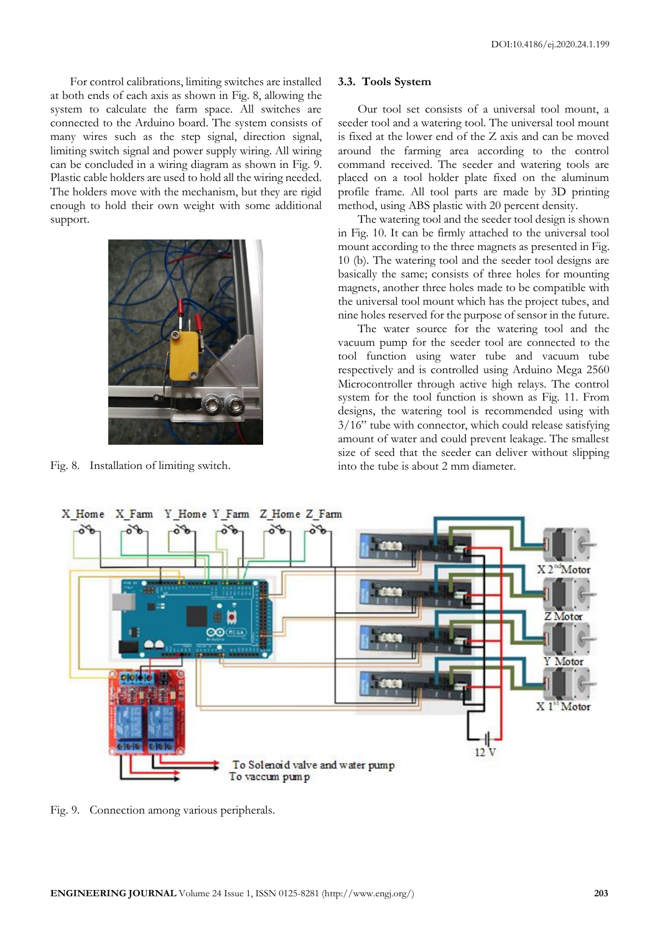For control calibrations, limiting switches are installed at both ends of each axis as shown in Fig. 8, allowing the system to calculate the farm space. All switches are connected to the Arduino board. The system consists of many wires such as the step signal, direction signal, limiting switch signal and power supply wiring. All wiring can be concluded in a wiring diagram as shown in Fig. 9. Plastic cable holders are used to hold all the wiring needed. The holders move with the mechanism, but they are rigid enough to hold their own weight with some additional support.



Fig. 8. Installation of limiting switch.

#### **3.3. Tools System**

Our tool set consists of a universal tool mount, a seeder tool and a watering tool. The universal tool mount is fixed at the lower end of the Z axis and can be moved around the farming area according to the control command received. The seeder and watering tools are placed on a tool holder plate fixed on the aluminum profile frame. All tool parts are made by 3D printing method, using ABS plastic with 20 percent density.

The watering tool and the seeder tool design is shown in Fig. 10. It can be firmly attached to the universal tool mount according to the three magnets as presented in Fig. 10 (b). The watering tool and the seeder tool designs are basically the same; consists of three holes for mounting magnets, another three holes made to be compatible with the universal tool mount which has the project tubes, and nine holes reserved for the purpose of sensor in the future.

The water source for the watering tool and the vacuum pump for the seeder tool are connected to the tool function using water tube and vacuum tube respectively and is controlled using Arduino Mega 2560 Microcontroller through active high relays. The control system for the tool function is shown as Fig. 11. From designs, the watering tool is recommended using with 3/16" tube with connector, which could release satisfying amount of water and could prevent leakage. The smallest size of seed that the seeder can deliver without slipping into the tube is about 2 mm diameter.



Fig. 9. Connection among various peripherals.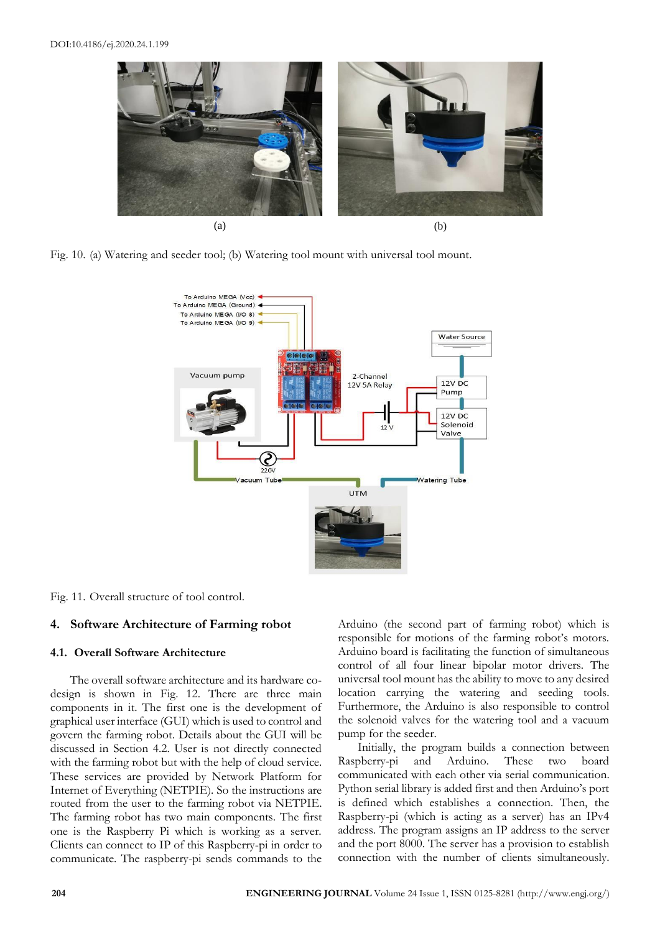

Fig. 10. (a) Watering and seeder tool; (b) Watering tool mount with universal tool mount.



Fig. 11. Overall structure of tool control.

## **4. Software Architecture of Farming robot**

#### **4.1. Overall Software Architecture**

The overall software architecture and its hardware codesign is shown in Fig. 12. There are three main components in it. The first one is the development of graphical user interface (GUI) which is used to control and govern the farming robot. Details about the GUI will be discussed in Section 4.2. User is not directly connected with the farming robot but with the help of cloud service. These services are provided by Network Platform for Internet of Everything (NETPIE). So the instructions are routed from the user to the farming robot via NETPIE. The farming robot has two main components. The first one is the Raspberry Pi which is working as a server. Clients can connect to IP of this Raspberry-pi in order to communicate. The raspberry-pi sends commands to the Arduino (the second part of farming robot) which is responsible for motions of the farming robot's motors. Arduino board is facilitating the function of simultaneous control of all four linear bipolar motor drivers. The universal tool mount has the ability to move to any desired location carrying the watering and seeding tools. Furthermore, the Arduino is also responsible to control the solenoid valves for the watering tool and a vacuum pump for the seeder.

Initially, the program builds a connection between Raspberry-pi and Arduino. These two board communicated with each other via serial communication. Python serial library is added first and then Arduino's port is defined which establishes a connection. Then, the Raspberry-pi (which is acting as a server) has an IPv4 address. The program assigns an IP address to the server and the port 8000. The server has a provision to establish connection with the number of clients simultaneously.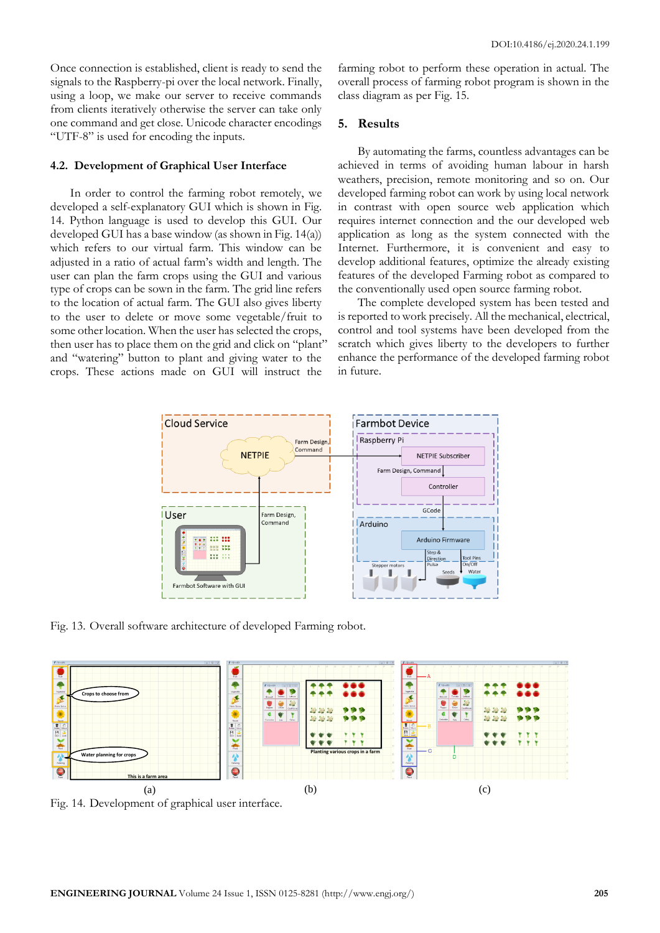Once connection is established, client is ready to send the signals to the Raspberry-pi over the local network. Finally, using a loop, we make our server to receive commands from clients iteratively otherwise the server can take only one command and get close. Unicode character encodings "UTF-8" is used for encoding the inputs.

#### **4.2. Development of Graphical User Interface**

In order to control the farming robot remotely, we developed a self-explanatory GUI which is shown in Fig. 14. Python language is used to develop this GUI. Our developed GUI has a base window (as shown in Fig. 14(a)) which refers to our virtual farm. This window can be adjusted in a ratio of actual farm's width and length. The user can plan the farm crops using the GUI and various type of crops can be sown in the farm. The grid line refers to the location of actual farm. The GUI also gives liberty to the user to delete or move some vegetable/fruit to some other location. When the user has selected the crops, then user has to place them on the grid and click on "plant" and "watering" button to plant and giving water to the crops. These actions made on GUI will instruct the

farming robot to perform these operation in actual. The overall process of farming robot program is shown in the class diagram as per Fig. 15.

#### **5. Results**

By automating the farms, countless advantages can be achieved in terms of avoiding human labour in harsh weathers, precision, remote monitoring and so on. Our developed farming robot can work by using local network in contrast with open source web application which requires internet connection and the our developed web application as long as the system connected with the Internet. Furthermore, it is convenient and easy to develop additional features, optimize the already existing features of the developed Farming robot as compared to the conventionally used open source farming robot.

The complete developed system has been tested and is reported to work precisely. All the mechanical, electrical, control and tool systems have been developed from the scratch which gives liberty to the developers to further enhance the performance of the developed farming robot in future.



Fig. 13. Overall software architecture of developed Farming robot.



Fig. 14. Development of graphical user interface.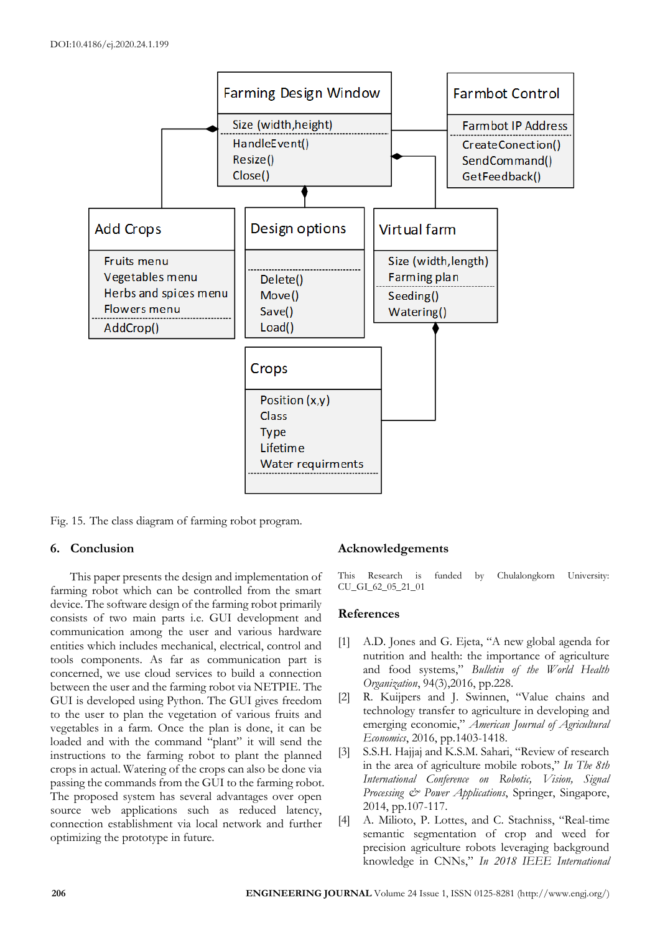

Fig. 15. The class diagram of farming robot program.

## **6. Conclusion**

This paper presents the design and implementation of farming robot which can be controlled from the smart device. The software design of the farming robot primarily consists of two main parts i.e. GUI development and communication among the user and various hardware entities which includes mechanical, electrical, control and tools components. As far as communication part is concerned, we use cloud services to build a connection between the user and the farming robot via NETPIE. The GUI is developed using Python. The GUI gives freedom to the user to plan the vegetation of various fruits and vegetables in a farm. Once the plan is done, it can be loaded and with the command "plant" it will send the instructions to the farming robot to plant the planned crops in actual. Watering of the crops can also be done via passing the commands from the GUI to the farming robot. The proposed system has several advantages over open source web applications such as reduced latency, connection establishment via local network and further optimizing the prototype in future.

## **Acknowledgements**

This Research is funded by Chulalongkorn University: CU\_GI\_62\_05\_21\_01

#### **References**

- [1] A.D. Jones and G. Ejeta, "A new global agenda for nutrition and health: the importance of agriculture and food systems," *Bulletin of the World Health Organization*, 94(3),2016, pp.228.
- [2] R. Kuijpers and J. Swinnen, "Value chains and technology transfer to agriculture in developing and emerging economie," *American Journal of Agricultural Economics*, 2016, pp.1403-1418.
- [3] S.S.H. Hajjaj and K.S.M. Sahari, "Review of research in the area of agriculture mobile robots," *In The 8th International Conference on Robotic, Vision, Signal Processing & Power Applications*, Springer, Singapore, 2014, pp.107-117.
- [4] A. Milioto, P. Lottes, and C. Stachniss, "Real-time semantic segmentation of crop and weed for precision agriculture robots leveraging background knowledge in CNNs," *In 2018 IEEE International*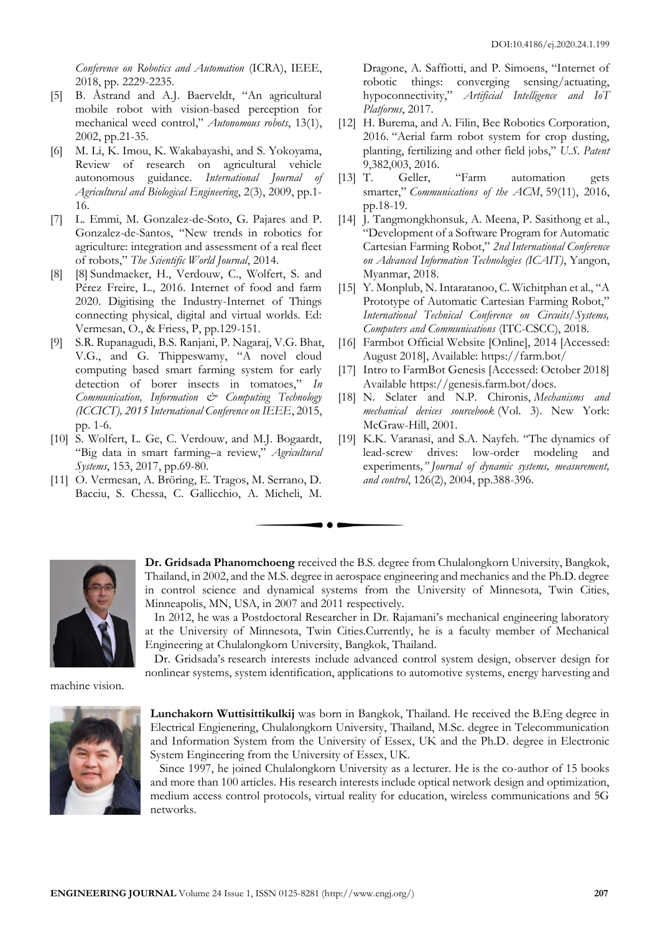*Conference on Robotics and Automation* (ICRA), IEEE, 2018, pp. 2229-2235.

- [5] B. Åstrand and A.J. Baerveldt, "An agricultural mobile robot with vision-based perception for mechanical weed control," *Autonomous robots*, 13(1), 2002, pp.21-35.
- [6] M. Li, K. Imou, K. Wakabayashi, and S. Yokoyama, Review of research on agricultural vehicle autonomous guidance. *International Journal of Agricultural and Biological Engineering*, 2(3), 2009, pp.1- 16.
- [7] L. Emmi, M. Gonzalez-de-Soto, G. Pajares and P. Gonzalez-de-Santos, "New trends in robotics for agriculture: integration and assessment of a real fleet of robots," *The Scientific World Journal*, 2014.
- [8] [8] Sundmaeker, H., Verdouw, C., Wolfert, S. and Pérez Freire, L., 2016. Internet of food and farm 2020. Digitising the Industry-Internet of Things connecting physical, digital and virtual worlds. Ed: Vermesan, O., & Friess, P, pp.129-151.
- [9] S.R. Rupanagudi, B.S. Ranjani, P. Nagaraj, V.G. Bhat, V.G., and G. Thippeswamy, "A novel cloud computing based smart farming system for early detection of borer insects in tomatoes," *In Communication, Information & Computing Technology (ICCICT), 2015 International Conference on IEEE*, 2015, pp. 1-6.
- [10] S. Wolfert, L. Ge, C. Verdouw, and M.J. Bogaardt, "Big data in smart farming–a review," *Agricultural Systems*, 153, 2017, pp.69-80.
- [11] O. Vermesan, A. Bröring, E. Tragos, M. Serrano, D. Bacciu, S. Chessa, C. Gallicchio, A. Micheli, M.

Dragone, A. Saffiotti, and P. Simoens, "Internet of robotic things: converging sensing/actuating, hypoconnectivity," *Artificial Intelligence and IoT Platforms*, 2017.

- [12] H. Burema, and A. Filin, Bee Robotics Corporation, 2016. "Aerial farm robot system for crop dusting, planting, fertilizing and other field jobs," *U.S. Patent* 9,382,003, 2016.
- [13] T. Geller, "Farm automation gets smarter," *Communications of the ACM*, 59(11), 2016, pp.18-19.
- [14] J. Tangmongkhonsuk, A. Meena, P. Sasithong et al., "Development of a Software Program for Automatic Cartesian Farming Robot," *2nd International Conference on Advanced Information Technologies (ICAIT)*, Yangon, Myanmar, 2018.
- [15] Y. Monplub, N. Intaratanoo, C. Wichitphan et al., "A Prototype of Automatic Cartesian Farming Robot," *International Technical Conference on Circuits/Systems, Computers and Communications* (ITC-CSCC), 2018.
- [16] Farmbot Official Website [Online], 2014 [Accessed: August 2018], Available: https://farm.bot/
- [17] Intro to FarmBot Genesis [Accessed: October 2018] Available https://genesis.farm.bot/docs.
- [18] N. Sclater and N.P. Chironis, *Mechanisms and mechanical devices sourcebook* (Vol. 3). New York: McGraw-Hill, 2001.
- [19] K.K. Varanasi, and S.A. Nayfeh. "The dynamics of lead-screw drives: low-order modeling and experiments*," Journal of dynamic systems, measurement, and control*, 126(2), 2004, pp.388-396.



**Dr. Gridsada Phanomchoeng** received the B.S. degree from Chulalongkorn University, Bangkok, Thailand, in 2002, and the M.S. degree in aerospace engineering and mechanics and the Ph.D. degree in control science and dynamical systems from the University of Minnesota, Twin Cities, Minneapolis, MN, USA, in 2007 and 2011 respectively.

 In 2012, he was a Postdoctoral Researcher in Dr. Rajamani's mechanical engineering laboratory at the University of Minnesota, Twin Cities.Currently, he is a faculty member of Mechanical Engineering at Chulalongkorn University, Bangkok, Thailand.

 Dr. Gridsada's research interests include advanced control system design, observer design for nonlinear systems, system identification, applications to automotive systems, energy harvesting and

machine vision.



**Lunchakorn Wuttisittikulkij** was born in Bangkok, Thailand. He received the B.Eng degree in Electrical Engienering, Chulalongkorn University, Thailand, M.Sc. degree in Telecommunication and Information System from the University of Essex, UK and the Ph.D. degree in Electronic System Engineering from the University of Essex, UK.

 Since 1997, he joined Chulalongkorn University as a lecturer. He is the co-author of 15 books and more than 100 articles. His research interests include optical network design and optimization, medium access control protocols, virtual reality for education, wireless communications and 5G networks.